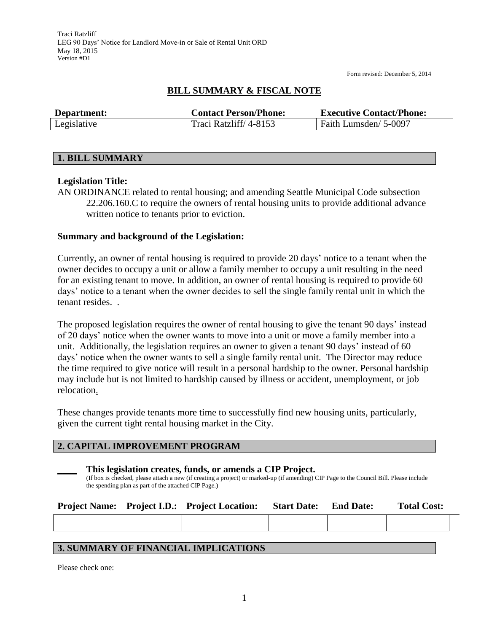# **BILL SUMMARY & FISCAL NOTE**

| Department: | <b>Contact Person/Phone:</b> | <b>Executive Contact/Phone:</b> |
|-------------|------------------------------|---------------------------------|
| Legislative | Traci Ratzliff/4-8153        | Faith Lumsden/ 5-0097           |

## **1. BILL SUMMARY**

## **Legislation Title:**

AN ORDINANCE related to rental housing; and amending Seattle Municipal Code subsection 22.206.160.C to require the owners of rental housing units to provide additional advance written notice to tenants prior to eviction.

## **Summary and background of the Legislation:**

Currently, an owner of rental housing is required to provide 20 days' notice to a tenant when the owner decides to occupy a unit or allow a family member to occupy a unit resulting in the need for an existing tenant to move. In addition, an owner of rental housing is required to provide 60 days' notice to a tenant when the owner decides to sell the single family rental unit in which the tenant resides. .

The proposed legislation requires the owner of rental housing to give the tenant 90 days' instead of 20 days' notice when the owner wants to move into a unit or move a family member into a unit. Additionally, the legislation requires an owner to given a tenant 90 days' instead of 60 days' notice when the owner wants to sell a single family rental unit. The Director may reduce the time required to give notice will result in a personal hardship to the owner. Personal hardship may include but is not limited to hardship caused by illness or accident, unemployment, or job relocation.

These changes provide tenants more time to successfully find new housing units, particularly, given the current tight rental housing market in the City.

## **2. CAPITAL IMPROVEMENT PROGRAM**

## **\_\_\_\_ This legislation creates, funds, or amends a CIP Project.**

(If box is checked, please attach a new (if creating a project) or marked-up (if amending) CIP Page to the Council Bill. Please include the spending plan as part of the attached CIP Page.)

|  | <b>Project Name:</b> Project I.D.: Project Location: | <b>Start Date:</b> | <b>End Date:</b> | <b>Total Cost:</b> |
|--|------------------------------------------------------|--------------------|------------------|--------------------|
|  |                                                      |                    |                  |                    |
|  |                                                      |                    |                  |                    |

## **3. SUMMARY OF FINANCIAL IMPLICATIONS**

Please check one: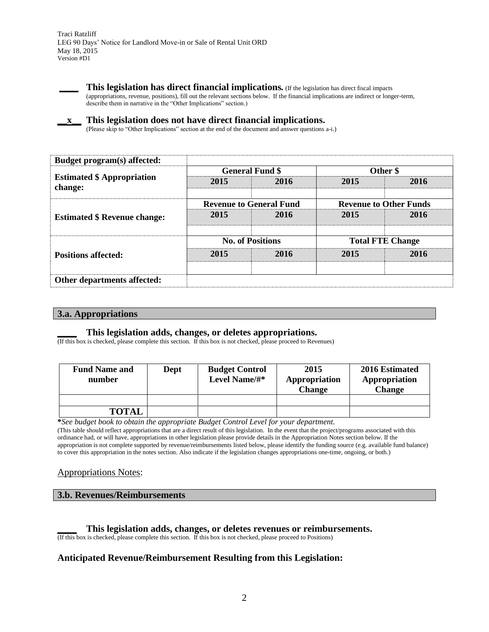

**\_\_\_\_ This legislation has direct financial implications***.* (If the legislation has direct fiscal impacts (appropriations, revenue, positions), fill out the relevant sections below. If the financial implications are indirect or longer-term, describe them in narrative in the "Other Implications" section.)

#### **\_\_x\_\_ This legislation does not have direct financial implications.**

(Please skip to "Other Implications" section at the end of the document and answer questions a-i.)

| Budget program(s) affected:                  |                         |                                |                               |      |  |
|----------------------------------------------|-------------------------|--------------------------------|-------------------------------|------|--|
|                                              |                         | <b>General Fund \$</b>         | Other \$                      |      |  |
| <b>Estimated \$ Appropriation</b><br>change: | 2015                    | 2016                           | 2015                          | 2016 |  |
|                                              |                         | <b>Revenue to General Fund</b> | <b>Revenue to Other Funds</b> |      |  |
| <b>Estimated \$ Revenue change:</b>          | 2015                    | 2016                           | 2015                          | 2016 |  |
|                                              | <b>No. of Positions</b> |                                | <b>Total FTE Change</b>       |      |  |
| <b>Positions affected:</b>                   | 2015                    | 2016                           | 2015                          | 2016 |  |
| Other departments affected:                  |                         |                                |                               |      |  |

| 3.a. Appropriations |  |  |
|---------------------|--|--|

## **\_\_\_\_ This legislation adds, changes, or deletes appropriations.**

(If this box is checked, please complete this section. If this box is not checked, please proceed to Revenues)

| <b>Fund Name and</b><br>number | Dept | <b>Budget Control</b><br>Level Name/#* | 2015<br>Appropriation<br><b>Change</b> | 2016 Estimated<br>Appropriation<br>Change |
|--------------------------------|------|----------------------------------------|----------------------------------------|-------------------------------------------|
|                                |      |                                        |                                        |                                           |
| <b>TOTAL</b>                   |      |                                        |                                        |                                           |

**\****See budget book to obtain the appropriate Budget Control Level for your department.*

(This table should reflect appropriations that are a direct result of this legislation. In the event that the project/programs associated with this ordinance had, or will have, appropriations in other legislation please provide details in the Appropriation Notes section below. If the appropriation is not complete supported by revenue/reimbursements listed below, please identify the funding source (e.g. available fund balance) to cover this appropriation in the notes section. Also indicate if the legislation changes appropriations one-time, ongoing, or both.)

## Appropriations Notes:

#### **3.b. Revenues/Reimbursements**

#### **\_\_\_\_ This legislation adds, changes, or deletes revenues or reimbursements.**

(If this box is checked, please complete this section. If this box is not checked, please proceed to Positions)

## **Anticipated Revenue/Reimbursement Resulting from this Legislation:**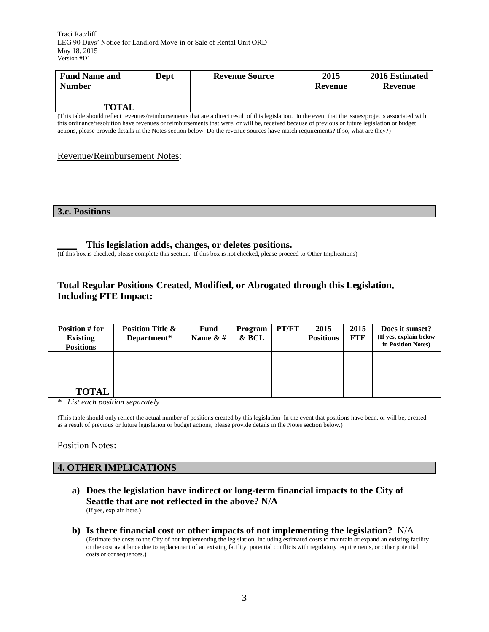Traci Ratzliff LEG 90 Days' Notice for Landlord Move-in or Sale of Rental Unit ORD May 18, 2015 Version #D1

| <b>Fund Name and</b> | Dept | <b>Revenue Source</b> | 2015    | 2016 Estimated |
|----------------------|------|-----------------------|---------|----------------|
| <b>Number</b>        |      |                       | Revenue | Revenue        |
|                      |      |                       |         |                |
| <b>TOTAL</b>         |      |                       |         |                |

(This table should reflect revenues/reimbursements that are a direct result of this legislation. In the event that the issues/projects associated with this ordinance/resolution have revenues or reimbursements that were, or will be, received because of previous or future legislation or budget actions, please provide details in the Notes section below. Do the revenue sources have match requirements? If so, what are they?)

### Revenue/Reimbursement Notes:

#### **3.c. Positions**

## **\_\_\_\_ This legislation adds, changes, or deletes positions.**

(If this box is checked, please complete this section. If this box is not checked, please proceed to Other Implications)

## **Total Regular Positions Created, Modified, or Abrogated through this Legislation, Including FTE Impact:**

| Position # for<br><b>Existing</b><br><b>Positions</b> | <b>Position Title &amp;</b><br>Department* | <b>Fund</b><br>Name $\& \#$ | Program<br>& BCL | PT/FT | 2015<br><b>Positions</b> | 2015<br><b>FTE</b> | Does it sunset?<br>(If yes, explain below<br>in Position Notes) |
|-------------------------------------------------------|--------------------------------------------|-----------------------------|------------------|-------|--------------------------|--------------------|-----------------------------------------------------------------|
|                                                       |                                            |                             |                  |       |                          |                    |                                                                 |
|                                                       |                                            |                             |                  |       |                          |                    |                                                                 |
|                                                       |                                            |                             |                  |       |                          |                    |                                                                 |
| <b>TOTAL</b>                                          |                                            |                             |                  |       |                          |                    |                                                                 |

*\* List each position separately*

(This table should only reflect the actual number of positions created by this legislation In the event that positions have been, or will be, created as a result of previous or future legislation or budget actions, please provide details in the Notes section below.)

## Position Notes:

#### **4. OTHER IMPLICATIONS**

- **a) Does the legislation have indirect or long-term financial impacts to the City of Seattle that are not reflected in the above? N/A** (If yes, explain here.)
- **b) Is there financial cost or other impacts of not implementing the legislation?** N/A (Estimate the costs to the City of not implementing the legislation, including estimated costs to maintain or expand an existing facility or the cost avoidance due to replacement of an existing facility, potential conflicts with regulatory requirements, or other potential costs or consequences.)